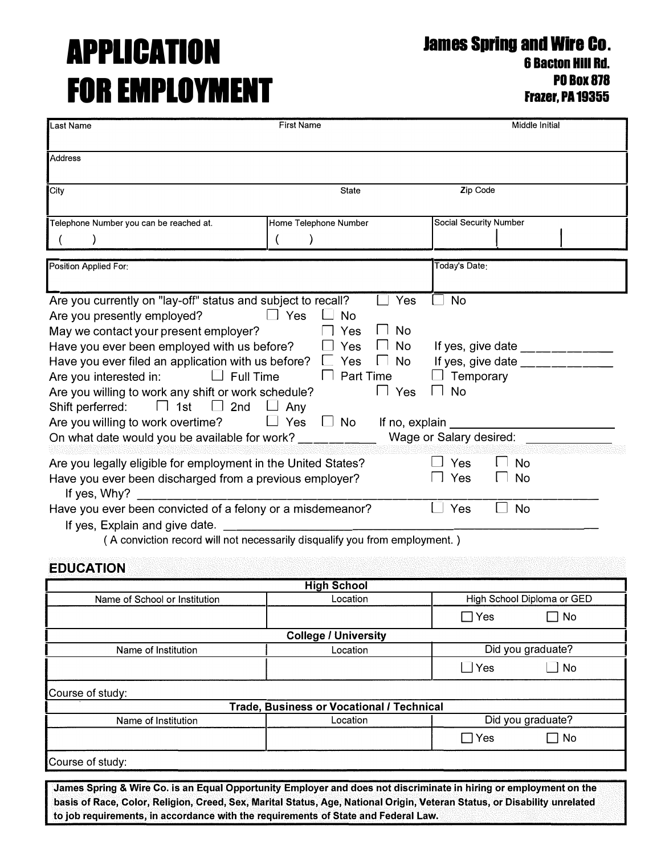# **APPLICATION FOR EMPLOYMENT**

÷

**James Spring and Wire Co.** 

**6 Bacton HIii Rd. P0Box818 Frazer, PA 19355** 

| Last Name<br>Middle Initial<br><b>First Name</b>                                             |                                           |                                                                                                                                                                                                                                                                                                                                                                                                                |  |  |
|----------------------------------------------------------------------------------------------|-------------------------------------------|----------------------------------------------------------------------------------------------------------------------------------------------------------------------------------------------------------------------------------------------------------------------------------------------------------------------------------------------------------------------------------------------------------------|--|--|
|                                                                                              |                                           |                                                                                                                                                                                                                                                                                                                                                                                                                |  |  |
| Address                                                                                      |                                           |                                                                                                                                                                                                                                                                                                                                                                                                                |  |  |
|                                                                                              |                                           |                                                                                                                                                                                                                                                                                                                                                                                                                |  |  |
| City                                                                                         | <b>State</b>                              |                                                                                                                                                                                                                                                                                                                                                                                                                |  |  |
|                                                                                              |                                           |                                                                                                                                                                                                                                                                                                                                                                                                                |  |  |
| Telephone Number you can be reached at.                                                      | Home Telephone Number                     | Social Security Number                                                                                                                                                                                                                                                                                                                                                                                         |  |  |
|                                                                                              | $\lambda$                                 |                                                                                                                                                                                                                                                                                                                                                                                                                |  |  |
| Position Applied For:                                                                        |                                           | Today's Date:                                                                                                                                                                                                                                                                                                                                                                                                  |  |  |
|                                                                                              |                                           |                                                                                                                                                                                                                                                                                                                                                                                                                |  |  |
| Are you currently on "lay-off" status and subject to recall?                                 | Yes                                       | <b>No</b>                                                                                                                                                                                                                                                                                                                                                                                                      |  |  |
| Are you presently employed?                                                                  | $\Box$ Yes<br>_ No                        |                                                                                                                                                                                                                                                                                                                                                                                                                |  |  |
| May we contact your present employer?                                                        | <b>No</b><br>Yes                          |                                                                                                                                                                                                                                                                                                                                                                                                                |  |  |
| Have you ever been employed with us before?                                                  | <b>No</b><br>Yes                          | If yes, give date $\frac{1}{2}$ mass and the same set of the same set of the same set of the same set of the same set of the same set of the same set of the same set of the same set of the same set of the same set of the same                                                                                                                                                                              |  |  |
| Have you ever filed an application with us before? $\Box$                                    | No<br>Yes<br>$\Box$                       | If yes, give date $\frac{1}{\sqrt{1-\frac{1}{2}}}\frac{1}{\sqrt{1-\frac{1}{2}}}\frac{1}{\sqrt{1-\frac{1}{2}}}\frac{1}{\sqrt{1-\frac{1}{2}}}\frac{1}{\sqrt{1-\frac{1}{2}}}\frac{1}{\sqrt{1-\frac{1}{2}}}\frac{1}{\sqrt{1-\frac{1}{2}}}\frac{1}{\sqrt{1-\frac{1}{2}}}\frac{1}{\sqrt{1-\frac{1}{2}}}\frac{1}{\sqrt{1-\frac{1}{2}}}\frac{1}{\sqrt{1-\frac{1}{2}}}\frac{1}{\sqrt{1-\frac{1}{2}}}\frac{1}{\sqrt{1-\$ |  |  |
| $\Box$ Full Time<br>Are you interested in:                                                   | <b>Part Time</b><br>$\mathbf{I}$          | Temporary                                                                                                                                                                                                                                                                                                                                                                                                      |  |  |
| Are you willing to work any shift or work schedule?                                          | $\Box$ Yes                                | $\Box$ No                                                                                                                                                                                                                                                                                                                                                                                                      |  |  |
| $\Box$ 1st $\Box$ 2nd $\Box$ Any<br>Shift perferred:                                         |                                           |                                                                                                                                                                                                                                                                                                                                                                                                                |  |  |
| Are you willing to work overtime?                                                            | $\Box$ Yes<br>$\Box$ No<br>If no, explain |                                                                                                                                                                                                                                                                                                                                                                                                                |  |  |
| On what date would you be available for work?                                                |                                           | Wage or Salary desired:                                                                                                                                                                                                                                                                                                                                                                                        |  |  |
|                                                                                              |                                           |                                                                                                                                                                                                                                                                                                                                                                                                                |  |  |
| Are you legally eligible for employment in the United States?                                |                                           | 」Yes<br><b>No</b>                                                                                                                                                                                                                                                                                                                                                                                              |  |  |
| 」Yes<br>Have you ever been discharged from a previous employer?<br><b>No</b><br>If yes, Why? |                                           |                                                                                                                                                                                                                                                                                                                                                                                                                |  |  |
| Have you ever been convicted of a felony or a misdemeanor?                                   |                                           | <b>No</b><br>Yes                                                                                                                                                                                                                                                                                                                                                                                               |  |  |
| If yes, Explain and give date.                                                               |                                           |                                                                                                                                                                                                                                                                                                                                                                                                                |  |  |
| (A conviction record will not necessarily disqualify you from employment.)                   |                                           |                                                                                                                                                                                                                                                                                                                                                                                                                |  |  |
|                                                                                              |                                           |                                                                                                                                                                                                                                                                                                                                                                                                                |  |  |
| <b>EDUCATION</b>                                                                             |                                           |                                                                                                                                                                                                                                                                                                                                                                                                                |  |  |
|                                                                                              | <b>High School</b>                        |                                                                                                                                                                                                                                                                                                                                                                                                                |  |  |
| Name of School or Institution                                                                | Location                                  | High School Diploma or GED                                                                                                                                                                                                                                                                                                                                                                                     |  |  |
|                                                                                              | $\Box$ Yes<br>$\Box$ No                   |                                                                                                                                                                                                                                                                                                                                                                                                                |  |  |
|                                                                                              | <b>College / University</b>               |                                                                                                                                                                                                                                                                                                                                                                                                                |  |  |

| Name of Institution | Location                                         |            | Did you graduate? |
|---------------------|--------------------------------------------------|------------|-------------------|
|                     |                                                  | $\Box$ Yes | No                |
| Course of study:    |                                                  |            |                   |
|                     | <b>Trade, Business or Vocational / Technical</b> |            |                   |
| Name of Institution | Location                                         |            | Did you graduate? |
|                     |                                                  | $\Box$ Yes | No                |
| Course of study:    |                                                  |            |                   |

**James Spring & Wire Co. is an Equal Opportunity Employer and does not discriminate in hiring or employment on the basis of Race, Color, Religion, Creed, Sex, Marital Status, Age, National Origin, Veteran Status, or Disability unrelated to job requirements, in accordance with the requirements of State and Federal Law.**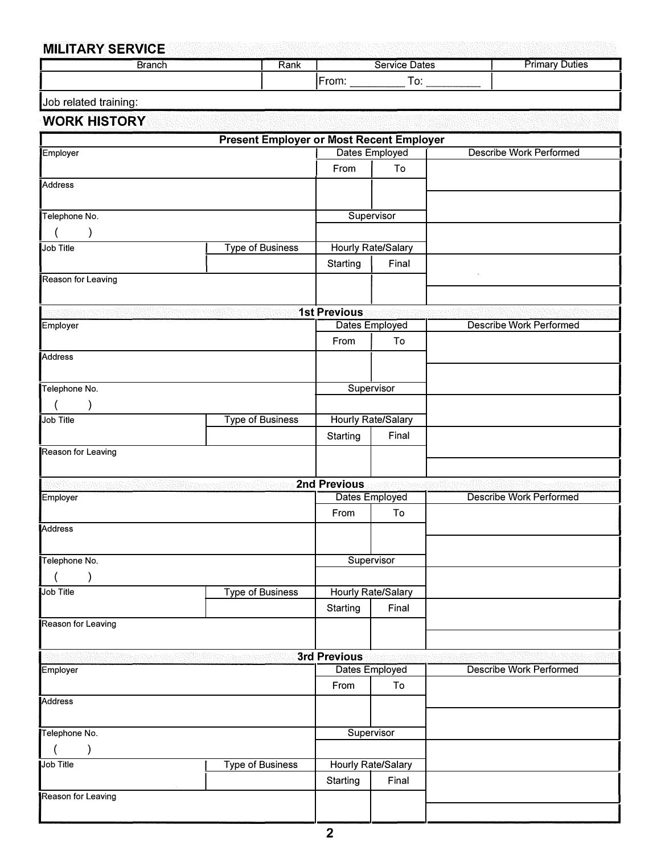### **MILITARY SERVICE**

| --<br>the state of the state of the property and the state of the<br>the control of the con- | 医水杨酸 医水杨酸 医无线性 医阿拉伯氏征 医心包 医神经性 化乙烯酸盐 医水杨酸盐 医白细胞<br>. |      | and the property of   |                 |
|----------------------------------------------------------------------------------------------|------------------------------------------------------|------|-----------------------|-----------------|
|                                                                                              | Branch                                               | Rank | Service Dates         | ' )utie⊾<br>шна |
|                                                                                              |                                                      |      | <b>From</b><br>-<br>ັ |                 |
|                                                                                              |                                                      |      |                       |                 |

|  | Job related training: |
|--|-----------------------|
|  |                       |

#### **WORK HISTORY**

| Dates Employed<br><b>Describe Work Performed</b><br>Employer<br>To<br>From<br><b>Address</b> |  |
|----------------------------------------------------------------------------------------------|--|
|                                                                                              |  |
|                                                                                              |  |
|                                                                                              |  |
|                                                                                              |  |
| Telephone No.<br>Supervisor                                                                  |  |
|                                                                                              |  |
| <b>Type of Business</b><br>Hourly Rate/Salary<br>Job Title                                   |  |
|                                                                                              |  |
| Final<br>Starting                                                                            |  |
| Reason for Leaving                                                                           |  |
|                                                                                              |  |
| <b>1st Previous</b>                                                                          |  |
| Dates Employed<br><b>Describe Work Performed</b><br>Employer                                 |  |
| To<br>From                                                                                   |  |
| Address                                                                                      |  |
|                                                                                              |  |
| Telephone No.<br>Supervisor                                                                  |  |
|                                                                                              |  |
|                                                                                              |  |
|                                                                                              |  |
| <b>Type of Business</b><br><b>Hourly Rate/Salary</b><br>Job Title                            |  |
| Starting<br>Final                                                                            |  |
| Reason for Leaving                                                                           |  |
|                                                                                              |  |
| 2nd Previous                                                                                 |  |
| <b>Describe Work Performed</b><br>Employer<br>Dates Employed                                 |  |
| From<br>To                                                                                   |  |
|                                                                                              |  |
|                                                                                              |  |
| Address<br>Supervisor<br>Telephone No.                                                       |  |
|                                                                                              |  |
| Type of Business<br>Hourly Rate/Salary<br>Job Title                                          |  |
| Final<br>Starting                                                                            |  |
|                                                                                              |  |
|                                                                                              |  |
|                                                                                              |  |
| Reason for Leaving<br>3rd Previous                                                           |  |
| <b>Describe Work Performed</b><br>Dates Employed<br>Employer                                 |  |
| To<br>From                                                                                   |  |
|                                                                                              |  |
|                                                                                              |  |
| Telephone No.<br>Supervisor                                                                  |  |
|                                                                                              |  |
| Hourly Rate/Salary<br><b>Type of Business</b><br>Job Title                                   |  |
| Starting<br>Final                                                                            |  |
| Address<br>Reason for Leaving                                                                |  |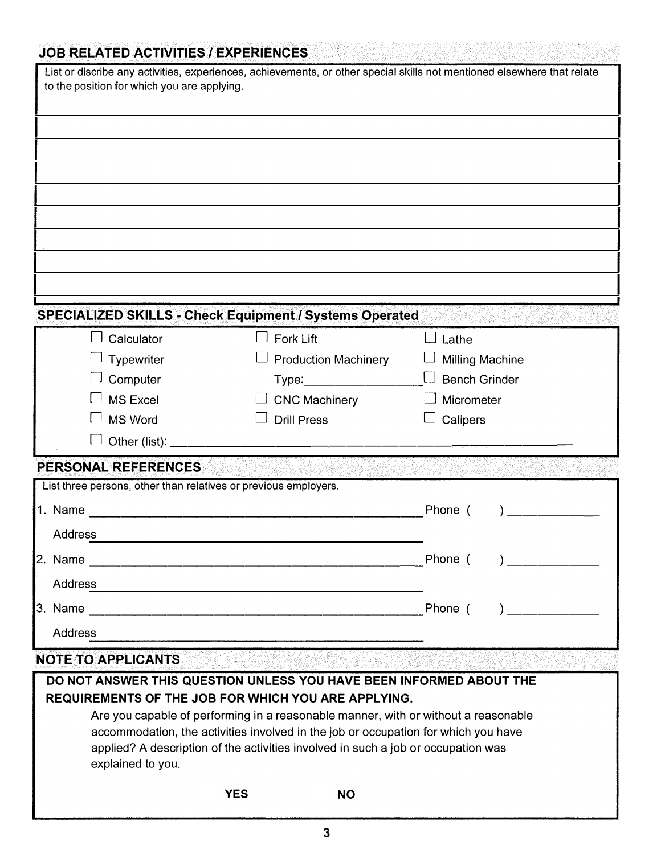## **JOB RELATED ACTIVITIES/ EXPERIENCES**

| to the position for which you are applying. | List or discribe any activities, experiences, achievements, or other special skills not mentioned elsewhere that relate                          |                        |  |  |
|---------------------------------------------|--------------------------------------------------------------------------------------------------------------------------------------------------|------------------------|--|--|
|                                             |                                                                                                                                                  |                        |  |  |
|                                             |                                                                                                                                                  |                        |  |  |
|                                             |                                                                                                                                                  |                        |  |  |
|                                             |                                                                                                                                                  |                        |  |  |
|                                             |                                                                                                                                                  |                        |  |  |
|                                             |                                                                                                                                                  |                        |  |  |
|                                             |                                                                                                                                                  |                        |  |  |
|                                             |                                                                                                                                                  |                        |  |  |
|                                             |                                                                                                                                                  |                        |  |  |
|                                             | <b>SPECIALIZED SKILLS - Check Equipment / Systems Operated</b>                                                                                   |                        |  |  |
| Calculator<br>$\Box$                        | $\mathsf{l}$ Fork Lift                                                                                                                           | $\Box$ Lathe           |  |  |
| <b>Typewriter</b>                           | <b>Production Machinery</b>                                                                                                                      | <b>Milling Machine</b> |  |  |
| Computer                                    | Type: _______________                                                                                                                            | $\Box$ Bench Grinder   |  |  |
| <b>MS Excel</b>                             | <b>CNC Machinery</b>                                                                                                                             | Micrometer             |  |  |
| <b>MS Word</b>                              | <b>Drill Press</b>                                                                                                                               | Calipers               |  |  |
|                                             |                                                                                                                                                  |                        |  |  |
| PERSONAL REFERENCES                         |                                                                                                                                                  |                        |  |  |
|                                             | List three persons, other than relatives or previous employers.                                                                                  |                        |  |  |
| 1. Name                                     |                                                                                                                                                  | Phone (                |  |  |
| <b>Address</b>                              |                                                                                                                                                  |                        |  |  |
| 2. Name                                     | <u> 2002 - Johann John Harry, mars eta bat eta bat eta bat eta bat ez arteko harta zen bat ez arteko harta zen b</u>                             | Phone (                |  |  |
| Address                                     |                                                                                                                                                  |                        |  |  |
| 3. Name                                     |                                                                                                                                                  | Phone (                |  |  |
| <b>Address</b>                              |                                                                                                                                                  |                        |  |  |
|                                             |                                                                                                                                                  |                        |  |  |
| <b>NOTE TO APPLICANTS</b>                   |                                                                                                                                                  |                        |  |  |
|                                             | DO NOT ANSWER THIS QUESTION UNLESS YOU HAVE BEEN INFORMED ABOUT THE                                                                              |                        |  |  |
|                                             | <b>REQUIREMENTS OF THE JOB FOR WHICH YOU ARE APPLYING.</b><br>Are you capable of performing in a reasonable manner, with or without a reasonable |                        |  |  |
|                                             | accommodation, the activities involved in the job or occupation for which you have                                                               |                        |  |  |
|                                             | applied? A description of the activities involved in such a job or occupation was                                                                |                        |  |  |

explained to you.

□ **YES** □ **NO**